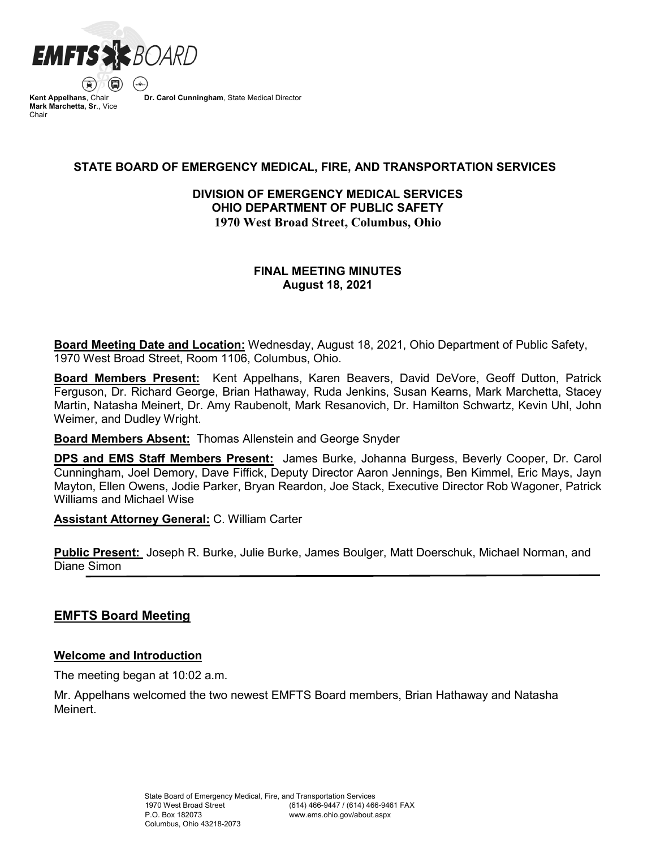

**Kent Appelhans**, Chair **Mark Marchetta, Sr**., Vice Chair

**Dr. Carol Cunningham**, State Medical Director

# **STATE BOARD OF EMERGENCY MEDICAL, FIRE, AND TRANSPORTATION SERVICES**

# **DIVISION OF EMERGENCY MEDICAL SERVICES OHIO DEPARTMENT OF PUBLIC SAFETY 1970 West Broad Street, Columbus, Ohio**

# **FINAL MEETING MINUTES August 18, 2021**

**Board Meeting Date and Location:** Wednesday, August 18, 2021, Ohio Department of Public Safety, 1970 West Broad Street, Room 1106, Columbus, Ohio.

**Board Members Present:** Kent Appelhans, Karen Beavers, David DeVore, Geoff Dutton, Patrick Ferguson, Dr. Richard George, Brian Hathaway, Ruda Jenkins, Susan Kearns, Mark Marchetta, Stacey Martin, Natasha Meinert, Dr. Amy Raubenolt, Mark Resanovich, Dr. Hamilton Schwartz, Kevin Uhl, John Weimer, and Dudley Wright.

**Board Members Absent:** Thomas Allenstein and George Snyder

**DPS and EMS Staff Members Present:** James Burke, Johanna Burgess, Beverly Cooper, Dr. Carol Cunningham, Joel Demory, Dave Fiffick, Deputy Director Aaron Jennings, Ben Kimmel, Eric Mays, Jayn Mayton, Ellen Owens, Jodie Parker, Bryan Reardon, Joe Stack, Executive Director Rob Wagoner, Patrick Williams and Michael Wise

**Assistant Attorney General:** C. William Carter

**Public Present:** Joseph R. Burke, Julie Burke, James Boulger, Matt Doerschuk, Michael Norman, and Diane Simon

# **EMFTS Board Meeting**

# **Welcome and Introduction**

The meeting began at 10:02 a.m.

Mr. Appelhans welcomed the two newest EMFTS Board members, Brian Hathaway and Natasha Meinert.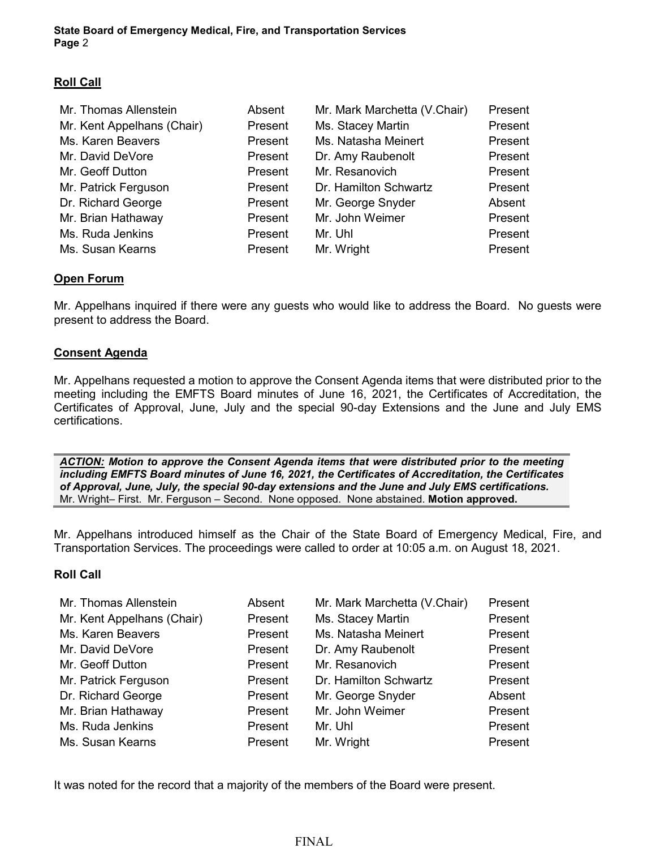# **Roll Call**

| Mr. Thomas Allenstein      | Absent  | Mr. Mark Marchetta (V.Chair) | Present |
|----------------------------|---------|------------------------------|---------|
| Mr. Kent Appelhans (Chair) | Present | Ms. Stacey Martin            | Present |
| Ms. Karen Beavers          | Present | Ms. Natasha Meinert          | Present |
| Mr. David DeVore           | Present | Dr. Amy Raubenolt            | Present |
| Mr. Geoff Dutton           | Present | Mr. Resanovich               | Present |
| Mr. Patrick Ferguson       | Present | Dr. Hamilton Schwartz        | Present |
| Dr. Richard George         | Present | Mr. George Snyder            | Absent  |
| Mr. Brian Hathaway         | Present | Mr. John Weimer              | Present |
| Ms. Ruda Jenkins           | Present | Mr. Uhl                      | Present |
| Ms. Susan Kearns           | Present | Mr. Wright                   | Present |

# **Open Forum**

Mr. Appelhans inquired if there were any guests who would like to address the Board. No guests were present to address the Board.

# **Consent Agenda**

Mr. Appelhans requested a motion to approve the Consent Agenda items that were distributed prior to the meeting including the EMFTS Board minutes of June 16, 2021, the Certificates of Accreditation, the Certificates of Approval, June, July and the special 90-day Extensions and the June and July EMS certifications.

*ACTION: Motion to approve the Consent Agenda items that were distributed prior to the meeting including EMFTS Board minutes of June 16, 2021, the Certificates of Accreditation, the Certificates of Approval, June, July, the special 90-day extensions and the June and July EMS certifications.*  Mr. Wright– First. Mr. Ferguson – Second. None opposed. None abstained. **Motion approved.**

Mr. Appelhans introduced himself as the Chair of the State Board of Emergency Medical, Fire, and Transportation Services. The proceedings were called to order at 10:05 a.m. on August 18, 2021.

# **Roll Call**

| Mr. Thomas Allenstein      | Absent  | Mr. Mark Marchetta (V.Chair) | Present |
|----------------------------|---------|------------------------------|---------|
| Mr. Kent Appelhans (Chair) | Present | Ms. Stacey Martin            | Present |
| Ms. Karen Beavers          | Present | Ms. Natasha Meinert          | Present |
| Mr. David DeVore           | Present | Dr. Amy Raubenolt            | Present |
| Mr. Geoff Dutton           | Present | Mr. Resanovich               | Present |
| Mr. Patrick Ferguson       | Present | Dr. Hamilton Schwartz        | Present |
| Dr. Richard George         | Present | Mr. George Snyder            | Absent  |
| Mr. Brian Hathaway         | Present | Mr. John Weimer              | Present |
| Ms. Ruda Jenkins           | Present | Mr. Uhl                      | Present |
| Ms. Susan Kearns           | Present | Mr. Wright                   | Present |

It was noted for the record that a majority of the members of the Board were present.

FINAL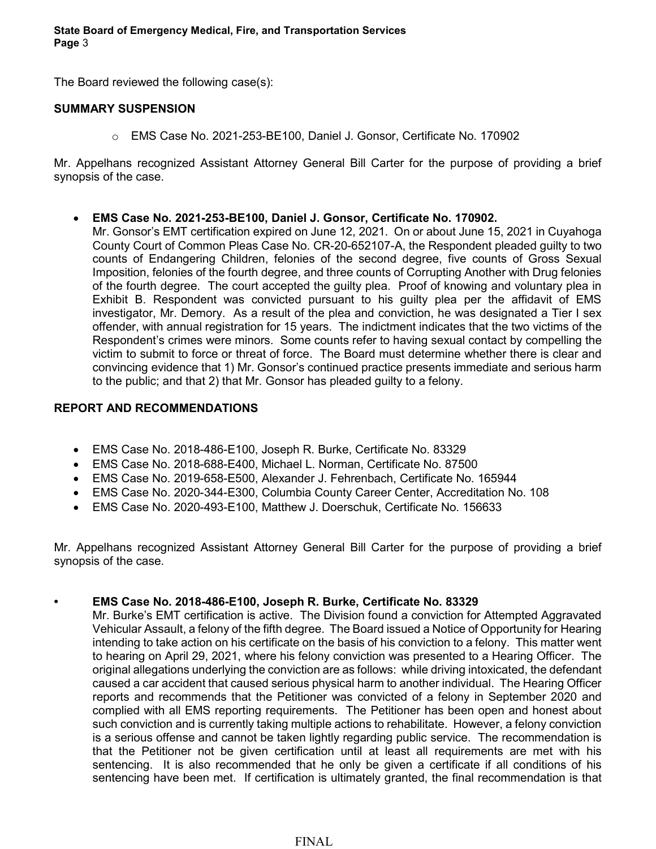The Board reviewed the following case(s):

### **SUMMARY SUSPENSION**

o EMS Case No. 2021-253-BE100, Daniel J. Gonsor, Certificate No. 170902

Mr. Appelhans recognized Assistant Attorney General Bill Carter for the purpose of providing a brief synopsis of the case.

• **EMS Case No. 2021-253-BE100, Daniel J. Gonsor, Certificate No. 170902.**

Mr. Gonsor's EMT certification expired on June 12, 2021. On or about June 15, 2021 in Cuyahoga County Court of Common Pleas Case No. CR-20-652107-A, the Respondent pleaded guilty to two counts of Endangering Children, felonies of the second degree, five counts of Gross Sexual Imposition, felonies of the fourth degree, and three counts of Corrupting Another with Drug felonies of the fourth degree. The court accepted the guilty plea. Proof of knowing and voluntary plea in Exhibit B. Respondent was convicted pursuant to his guilty plea per the affidavit of EMS investigator, Mr. Demory. As a result of the plea and conviction, he was designated a Tier I sex offender, with annual registration for 15 years. The indictment indicates that the two victims of the Respondent's crimes were minors. Some counts refer to having sexual contact by compelling the victim to submit to force or threat of force. The Board must determine whether there is clear and convincing evidence that 1) Mr. Gonsor's continued practice presents immediate and serious harm to the public; and that 2) that Mr. Gonsor has pleaded guilty to a felony.

### **REPORT AND RECOMMENDATIONS**

- EMS Case No. 2018-486-E100, Joseph R. Burke, Certificate No. 83329
- EMS Case No. 2018-688-E400, Michael L. Norman, Certificate No. 87500
- EMS Case No. 2019-658-E500, Alexander J. Fehrenbach, Certificate No. 165944
- EMS Case No. 2020-344-E300, Columbia County Career Center, Accreditation No. 108
- EMS Case No. 2020-493-E100, Matthew J. Doerschuk, Certificate No. 156633

Mr. Appelhans recognized Assistant Attorney General Bill Carter for the purpose of providing a brief synopsis of the case.

# **• EMS Case No. 2018-486-E100, Joseph R. Burke, Certificate No. 83329**

Mr. Burke's EMT certification is active. The Division found a conviction for Attempted Aggravated Vehicular Assault, a felony of the fifth degree. The Board issued a Notice of Opportunity for Hearing intending to take action on his certificate on the basis of his conviction to a felony. This matter went to hearing on April 29, 2021, where his felony conviction was presented to a Hearing Officer. The original allegations underlying the conviction are as follows: while driving intoxicated, the defendant caused a car accident that caused serious physical harm to another individual. The Hearing Officer reports and recommends that the Petitioner was convicted of a felony in September 2020 and complied with all EMS reporting requirements. The Petitioner has been open and honest about such conviction and is currently taking multiple actions to rehabilitate. However, a felony conviction is a serious offense and cannot be taken lightly regarding public service. The recommendation is that the Petitioner not be given certification until at least all requirements are met with his sentencing. It is also recommended that he only be given a certificate if all conditions of his sentencing have been met. If certification is ultimately granted, the final recommendation is that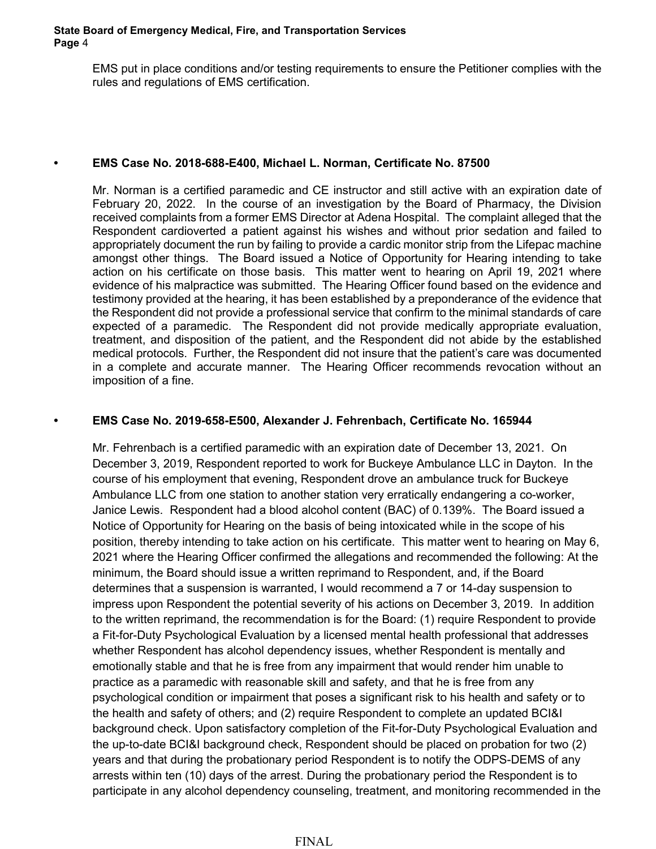EMS put in place conditions and/or testing requirements to ensure the Petitioner complies with the rules and regulations of EMS certification.

### **• EMS Case No. 2018-688-E400, Michael L. Norman, Certificate No. 87500**

Mr. Norman is a certified paramedic and CE instructor and still active with an expiration date of February 20, 2022. In the course of an investigation by the Board of Pharmacy, the Division received complaints from a former EMS Director at Adena Hospital. The complaint alleged that the Respondent cardioverted a patient against his wishes and without prior sedation and failed to appropriately document the run by failing to provide a cardic monitor strip from the Lifepac machine amongst other things. The Board issued a Notice of Opportunity for Hearing intending to take action on his certificate on those basis. This matter went to hearing on April 19, 2021 where evidence of his malpractice was submitted. The Hearing Officer found based on the evidence and testimony provided at the hearing, it has been established by a preponderance of the evidence that the Respondent did not provide a professional service that confirm to the minimal standards of care expected of a paramedic. The Respondent did not provide medically appropriate evaluation, treatment, and disposition of the patient, and the Respondent did not abide by the established medical protocols. Further, the Respondent did not insure that the patient's care was documented in a complete and accurate manner. The Hearing Officer recommends revocation without an imposition of a fine.

### **• EMS Case No. 2019-658-E500, Alexander J. Fehrenbach, Certificate No. 165944**

Mr. Fehrenbach is a certified paramedic with an expiration date of December 13, 2021. On December 3, 2019, Respondent reported to work for Buckeye Ambulance LLC in Dayton. In the course of his employment that evening, Respondent drove an ambulance truck for Buckeye Ambulance LLC from one station to another station very erratically endangering a co-worker, Janice Lewis. Respondent had a blood alcohol content (BAC) of 0.139%. The Board issued a Notice of Opportunity for Hearing on the basis of being intoxicated while in the scope of his position, thereby intending to take action on his certificate. This matter went to hearing on May 6, 2021 where the Hearing Officer confirmed the allegations and recommended the following: At the minimum, the Board should issue a written reprimand to Respondent, and, if the Board determines that a suspension is warranted, I would recommend a 7 or 14-day suspension to impress upon Respondent the potential severity of his actions on December 3, 2019. In addition to the written reprimand, the recommendation is for the Board: (1) require Respondent to provide a Fit-for-Duty Psychological Evaluation by a licensed mental health professional that addresses whether Respondent has alcohol dependency issues, whether Respondent is mentally and emotionally stable and that he is free from any impairment that would render him unable to practice as a paramedic with reasonable skill and safety, and that he is free from any psychological condition or impairment that poses a significant risk to his health and safety or to the health and safety of others; and (2) require Respondent to complete an updated BCI&I background check. Upon satisfactory completion of the Fit-for-Duty Psychological Evaluation and the up-to-date BCI&I background check, Respondent should be placed on probation for two (2) years and that during the probationary period Respondent is to notify the ODPS-DEMS of any arrests within ten (10) days of the arrest. During the probationary period the Respondent is to participate in any alcohol dependency counseling, treatment, and monitoring recommended in the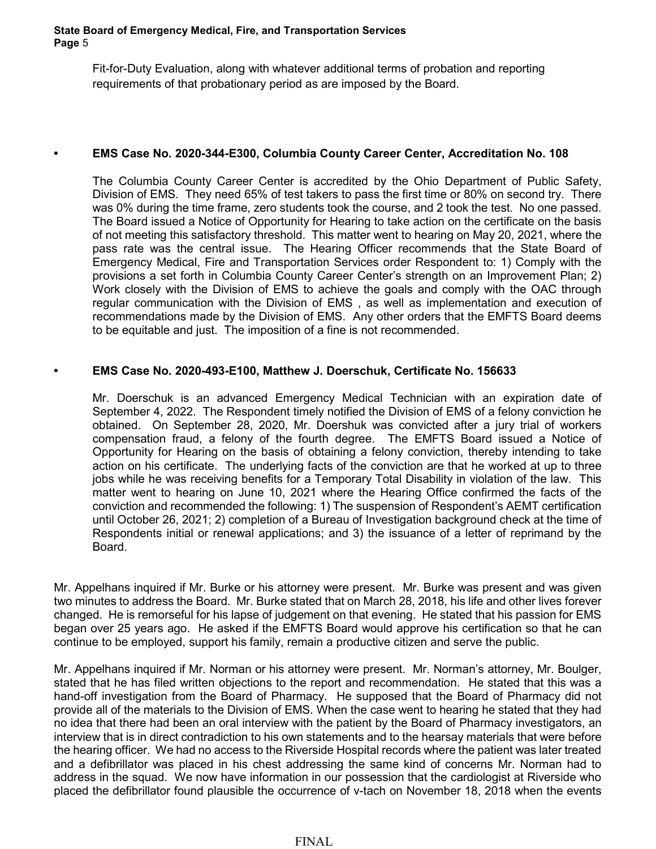Fit-for-Duty Evaluation, along with whatever additional terms of probation and reporting requirements of that probationary period as are imposed by the Board.

### **• EMS Case No. 2020-344-E300, Columbia County Career Center, Accreditation No. 108**

The Columbia County Career Center is accredited by the Ohio Department of Public Safety, Division of EMS. They need 65% of test takers to pass the first time or 80% on second try. There was 0% during the time frame, zero students took the course, and 2 took the test. No one passed. The Board issued a Notice of Opportunity for Hearing to take action on the certificate on the basis of not meeting this satisfactory threshold. This matter went to hearing on May 20, 2021, where the pass rate was the central issue. The Hearing Officer recommends that the State Board of Emergency Medical, Fire and Transportation Services order Respondent to: 1) Comply with the provisions a set forth in Columbia County Career Center's strength on an Improvement Plan; 2) Work closely with the Division of EMS to achieve the goals and comply with the OAC through regular communication with the Division of EMS , as well as implementation and execution of recommendations made by the Division of EMS. Any other orders that the EMFTS Board deems to be equitable and just. The imposition of a fine is not recommended.

### **• EMS Case No. 2020-493-E100, Matthew J. Doerschuk, Certificate No. 156633**

Mr. Doerschuk is an advanced Emergency Medical Technician with an expiration date of September 4, 2022. The Respondent timely notified the Division of EMS of a felony conviction he obtained. On September 28, 2020, Mr. Doershuk was convicted after a jury trial of workers compensation fraud, a felony of the fourth degree. The EMFTS Board issued a Notice of Opportunity for Hearing on the basis of obtaining a felony conviction, thereby intending to take action on his certificate. The underlying facts of the conviction are that he worked at up to three jobs while he was receiving benefits for a Temporary Total Disability in violation of the law. This matter went to hearing on June 10, 2021 where the Hearing Office confirmed the facts of the conviction and recommended the following: 1) The suspension of Respondent's AEMT certification until October 26, 2021; 2) completion of a Bureau of Investigation background check at the time of Respondents initial or renewal applications; and 3) the issuance of a letter of reprimand by the Board.

Mr. Appelhans inquired if Mr. Burke or his attorney were present. Mr. Burke was present and was given two minutes to address the Board. Mr. Burke stated that on March 28, 2018, his life and other lives forever changed. He is remorseful for his lapse of judgement on that evening. He stated that his passion for EMS began over 25 years ago. He asked if the EMFTS Board would approve his certification so that he can continue to be employed, support his family, remain a productive citizen and serve the public.

Mr. Appelhans inquired if Mr. Norman or his attorney were present. Mr. Norman's attorney, Mr. Boulger, stated that he has filed written objections to the report and recommendation. He stated that this was a hand-off investigation from the Board of Pharmacy. He supposed that the Board of Pharmacy did not provide all of the materials to the Division of EMS. When the case went to hearing he stated that they had no idea that there had been an oral interview with the patient by the Board of Pharmacy investigators, an interview that is in direct contradiction to his own statements and to the hearsay materials that were before the hearing officer. We had no access to the Riverside Hospital records where the patient was later treated and a defibrillator was placed in his chest addressing the same kind of concerns Mr. Norman had to address in the squad. We now have information in our possession that the cardiologist at Riverside who placed the defibrillator found plausible the occurrence of v-tach on November 18, 2018 when the events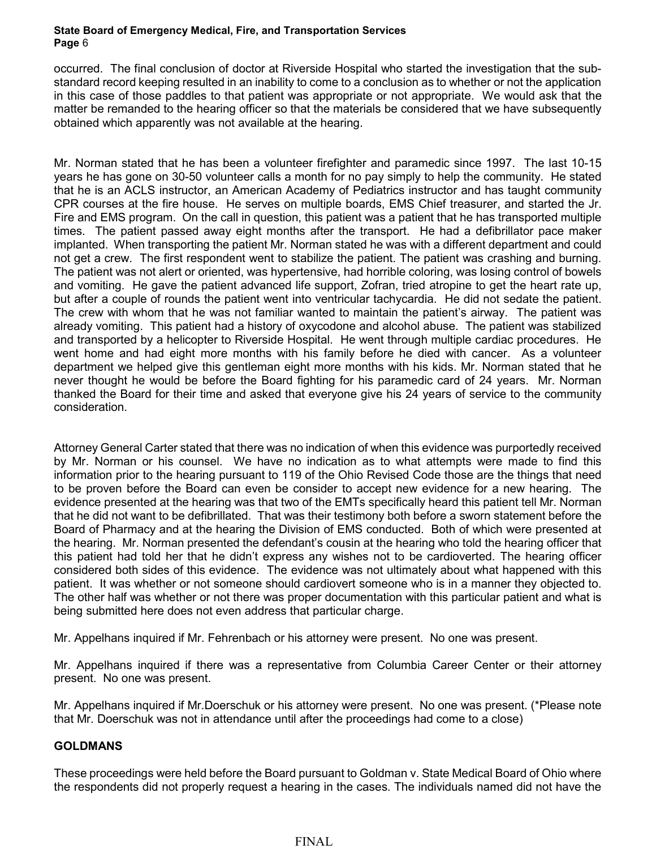occurred. The final conclusion of doctor at Riverside Hospital who started the investigation that the substandard record keeping resulted in an inability to come to a conclusion as to whether or not the application in this case of those paddles to that patient was appropriate or not appropriate. We would ask that the matter be remanded to the hearing officer so that the materials be considered that we have subsequently obtained which apparently was not available at the hearing.

Mr. Norman stated that he has been a volunteer firefighter and paramedic since 1997. The last 10-15 years he has gone on 30-50 volunteer calls a month for no pay simply to help the community. He stated that he is an ACLS instructor, an American Academy of Pediatrics instructor and has taught community CPR courses at the fire house. He serves on multiple boards, EMS Chief treasurer, and started the Jr. Fire and EMS program. On the call in question, this patient was a patient that he has transported multiple times. The patient passed away eight months after the transport. He had a defibrillator pace maker implanted. When transporting the patient Mr. Norman stated he was with a different department and could not get a crew. The first respondent went to stabilize the patient. The patient was crashing and burning. The patient was not alert or oriented, was hypertensive, had horrible coloring, was losing control of bowels and vomiting. He gave the patient advanced life support, Zofran, tried atropine to get the heart rate up, but after a couple of rounds the patient went into ventricular tachycardia. He did not sedate the patient. The crew with whom that he was not familiar wanted to maintain the patient's airway. The patient was already vomiting. This patient had a history of oxycodone and alcohol abuse. The patient was stabilized and transported by a helicopter to Riverside Hospital. He went through multiple cardiac procedures. He went home and had eight more months with his family before he died with cancer. As a volunteer department we helped give this gentleman eight more months with his kids. Mr. Norman stated that he never thought he would be before the Board fighting for his paramedic card of 24 years. Mr. Norman thanked the Board for their time and asked that everyone give his 24 years of service to the community consideration.

Attorney General Carter stated that there was no indication of when this evidence was purportedly received by Mr. Norman or his counsel. We have no indication as to what attempts were made to find this information prior to the hearing pursuant to 119 of the Ohio Revised Code those are the things that need to be proven before the Board can even be consider to accept new evidence for a new hearing. The evidence presented at the hearing was that two of the EMTs specifically heard this patient tell Mr. Norman that he did not want to be defibrillated. That was their testimony both before a sworn statement before the Board of Pharmacy and at the hearing the Division of EMS conducted. Both of which were presented at the hearing. Mr. Norman presented the defendant's cousin at the hearing who told the hearing officer that this patient had told her that he didn't express any wishes not to be cardioverted. The hearing officer considered both sides of this evidence. The evidence was not ultimately about what happened with this patient. It was whether or not someone should cardiovert someone who is in a manner they objected to. The other half was whether or not there was proper documentation with this particular patient and what is being submitted here does not even address that particular charge.

Mr. Appelhans inquired if Mr. Fehrenbach or his attorney were present. No one was present.

Mr. Appelhans inquired if there was a representative from Columbia Career Center or their attorney present. No one was present.

Mr. Appelhans inquired if Mr.Doerschuk or his attorney were present. No one was present. (\*Please note that Mr. Doerschuk was not in attendance until after the proceedings had come to a close)

# **GOLDMANS**

These proceedings were held before the Board pursuant to Goldman v. State Medical Board of Ohio where the respondents did not properly request a hearing in the cases. The individuals named did not have the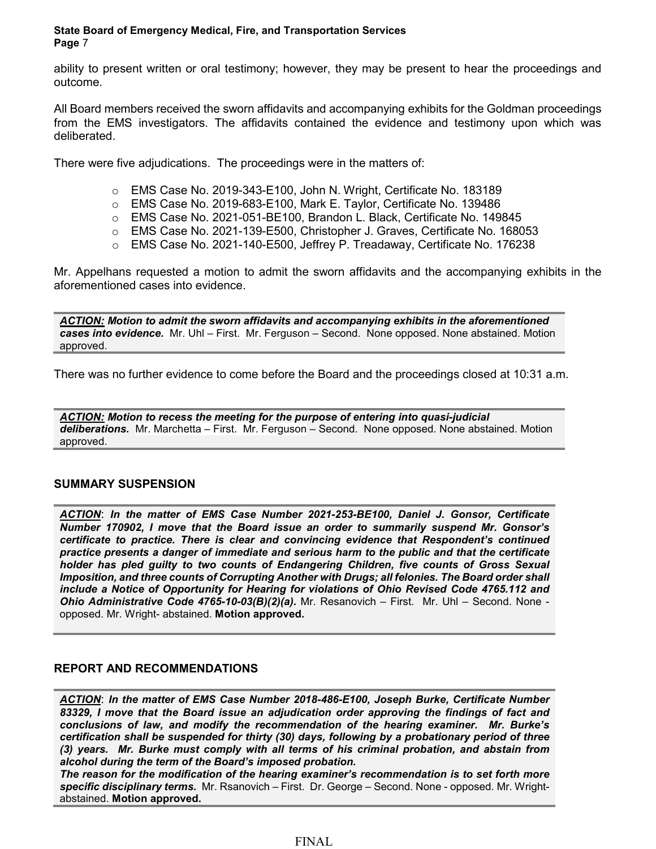ability to present written or oral testimony; however, they may be present to hear the proceedings and outcome.

All Board members received the sworn affidavits and accompanying exhibits for the Goldman proceedings from the EMS investigators. The affidavits contained the evidence and testimony upon which was deliberated.

There were five adjudications. The proceedings were in the matters of:

- o EMS Case No. 2019-343-E100, John N. Wright, Certificate No. 183189
- $\circ$  EMS Case No. 2019-683-E100, Mark E. Taylor, Certificate No. 139486
- o EMS Case No. 2021-051-BE100, Brandon L. Black, Certificate No. 149845
- o EMS Case No. 2021-139-E500, Christopher J. Graves, Certificate No. 168053
- o EMS Case No. 2021-140-E500, Jeffrey P. Treadaway, Certificate No. 176238

Mr. Appelhans requested a motion to admit the sworn affidavits and the accompanying exhibits in the aforementioned cases into evidence.

*ACTION: Motion to admit the sworn affidavits and accompanying exhibits in the aforementioned cases into evidence.* Mr. Uhl – First. Mr. Ferguson – Second. None opposed. None abstained. Motion approved.

There was no further evidence to come before the Board and the proceedings closed at 10:31 a.m.

*ACTION: Motion to recess the meeting for the purpose of entering into quasi-judicial deliberations.* Mr. Marchetta – First. Mr. Ferguson – Second. None opposed. None abstained. Motion approved.

# **SUMMARY SUSPENSION**

*ACTION*: *In the matter of EMS Case Number 2021-253-BE100, Daniel J. Gonsor, Certificate Number 170902, I move that the Board issue an order to summarily suspend Mr. Gonsor's certificate to practice. There is clear and convincing evidence that Respondent's continued practice presents a danger of immediate and serious harm to the public and that the certificate holder has pled guilty to two counts of Endangering Children, five counts of Gross Sexual Imposition, and three counts of Corrupting Another with Drugs; all felonies. The Board order shall include a Notice of Opportunity for Hearing for violations of Ohio Revised Code 4765.112 and Ohio Administrative Code 4765-10-03(B)(2)(a).* Mr. Resanovich – First. Mr. Uhl – Second. None opposed. Mr. Wright- abstained. **Motion approved.**

# **REPORT AND RECOMMENDATIONS**

*ACTION*: *In the matter of EMS Case Number 2018-486-E100, Joseph Burke, Certificate Number 83329, I move that the Board issue an adjudication order approving the findings of fact and conclusions of law, and modify the recommendation of the hearing examiner. Mr. Burke's certification shall be suspended for thirty (30) days, following by a probationary period of three (3) years. Mr. Burke must comply with all terms of his criminal probation, and abstain from alcohol during the term of the Board's imposed probation.*

*The reason for the modification of the hearing examiner's recommendation is to set forth more specific disciplinary terms.* Mr. Rsanovich – First. Dr. George – Second. None - opposed. Mr. Wrightabstained. **Motion approved.**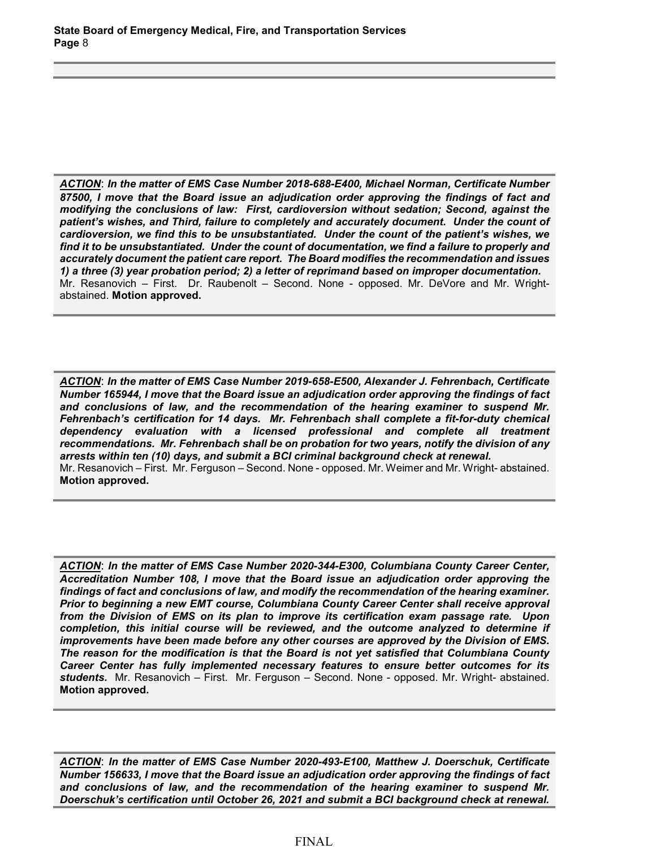*ACTION*: *In the matter of EMS Case Number 2018-688-E400, Michael Norman, Certificate Number 87500, I move that the Board issue an adjudication order approving the findings of fact and modifying the conclusions of law: First, cardioversion without sedation; Second, against the patient's wishes, and Third, failure to completely and accurately document. Under the count of cardioversion, we find this to be unsubstantiated. Under the count of the patient's wishes, we find it to be unsubstantiated. Under the count of documentation, we find a failure to properly and accurately document the patient care report. The Board modifies the recommendation and issues 1) a three (3) year probation period; 2) a letter of reprimand based on improper documentation.* Mr. Resanovich – First. Dr. Raubenolt – Second. None - opposed. Mr. DeVore and Mr. Wrightabstained. **Motion approved.**

*ACTION*: *In the matter of EMS Case Number 2019-658-E500, Alexander J. Fehrenbach, Certificate Number 165944, I move that the Board issue an adjudication order approving the findings of fact and conclusions of law, and the recommendation of the hearing examiner to suspend Mr. Fehrenbach's certification for 14 days. Mr. Fehrenbach shall complete a fit-for-duty chemical dependency evaluation with a licensed professional and complete all treatment recommendations. Mr. Fehrenbach shall be on probation for two years, notify the division of any arrests within ten (10) days, and submit a BCI criminal background check at renewal.*  Mr. Resanovich – First. Mr. Ferguson – Second. None - opposed. Mr. Weimer and Mr. Wright- abstained. **Motion approved.**

*ACTION*: *In the matter of EMS Case Number 2020-344-E300, Columbiana County Career Center, Accreditation Number 108, I move that the Board issue an adjudication order approving the findings of fact and conclusions of law, and modify the recommendation of the hearing examiner. Prior to beginning a new EMT course, Columbiana County Career Center shall receive approval from the Division of EMS on its plan to improve its certification exam passage rate. Upon*  completion, this initial course will be reviewed, and the outcome analyzed to determine if *improvements have been made before any other courses are approved by the Division of EMS. The reason for the modification is that the Board is not yet satisfied that Columbiana County Career Center has fully implemented necessary features to ensure better outcomes for its students.* Mr. Resanovich – First. Mr. Ferguson – Second. None - opposed. Mr. Wright- abstained. **Motion approved.**

*ACTION*: *In the matter of EMS Case Number 2020-493-E100, Matthew J. Doerschuk, Certificate Number 156633, I move that the Board issue an adjudication order approving the findings of fact and conclusions of law, and the recommendation of the hearing examiner to suspend Mr. Doerschuk's certification until October 26, 2021 and submit a BCI background check at renewal.*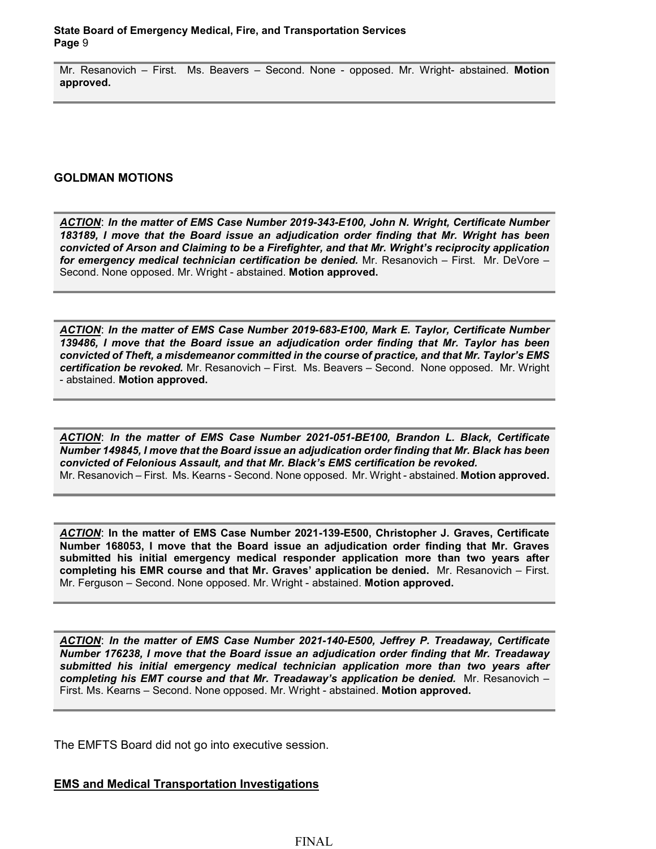Mr. Resanovich – First. Ms. Beavers – Second. None - opposed. Mr. Wright- abstained. **Motion approved.**

#### **GOLDMAN MOTIONS**

*ACTION*: *In the matter of EMS Case Number 2019-343-E100, John N. Wright, Certificate Number 183189, I move that the Board issue an adjudication order finding that Mr. Wright has been convicted of Arson and Claiming to be a Firefighter, and that Mr. Wright's reciprocity application for emergency medical technician certification be denied.* Mr. Resanovich – First. Mr. DeVore – Second. None opposed. Mr. Wright - abstained. **Motion approved.**

*ACTION*: *In the matter of EMS Case Number 2019-683-E100, Mark E. Taylor, Certificate Number 139486, I move that the Board issue an adjudication order finding that Mr. Taylor has been convicted of Theft, a misdemeanor committed in the course of practice, and that Mr. Taylor's EMS certification be revoked.* Mr. Resanovich – First. Ms. Beavers – Second. None opposed. Mr. Wright - abstained. **Motion approved.**

*ACTION*: *In the matter of EMS Case Number 2021-051-BE100, Brandon L. Black, Certificate Number 149845, I move that the Board issue an adjudication order finding that Mr. Black has been convicted of Felonious Assault, and that Mr. Black's EMS certification be revoked.*  Mr. Resanovich – First. Ms. Kearns - Second. None opposed. Mr. Wright - abstained. **Motion approved.**

*ACTION*: **In the matter of EMS Case Number 2021-139-E500, Christopher J. Graves, Certificate Number 168053, I move that the Board issue an adjudication order finding that Mr. Graves submitted his initial emergency medical responder application more than two years after completing his EMR course and that Mr. Graves' application be denied.** Mr. Resanovich – First. Mr. Ferguson – Second. None opposed. Mr. Wright - abstained. **Motion approved.**

*ACTION*: *In the matter of EMS Case Number 2021-140-E500, Jeffrey P. Treadaway, Certificate Number 176238, I move that the Board issue an adjudication order finding that Mr. Treadaway submitted his initial emergency medical technician application more than two years after completing his EMT course and that Mr. Treadaway's application be denied.* Mr. Resanovich – First. Ms. Kearns – Second. None opposed. Mr. Wright - abstained. **Motion approved.**

The EMFTS Board did not go into executive session.

**EMS and Medical Transportation Investigations**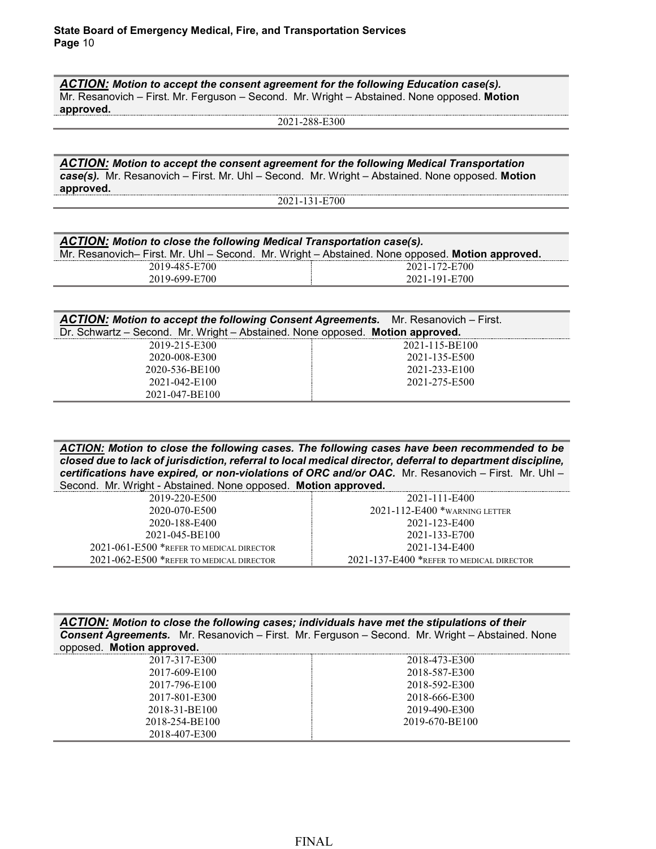*ACTION: Motion to accept the consent agreement for the following Education case(s).*  Mr. Resanovich – First. Mr. Ferguson – Second. Mr. Wright – Abstained. None opposed. **Motion approved.**

2021-288-E300

*ACTION: Motion to accept the consent agreement for the following Medical Transportation case(s).* Mr. Resanovich – First. Mr. Uhl – Second. Mr. Wright – Abstained. None opposed. **Motion approved.**

2021-131-E700

| ACTION: Motion to close the following Medical Transportation case(s).                           |               |  |
|-------------------------------------------------------------------------------------------------|---------------|--|
| Mr. Resanovich– First. Mr. Uhl – Second. Mr. Wright – Abstained. None opposed. Motion approved. |               |  |
| 2019-485-E700                                                                                   | 2021-172-E700 |  |
| 2019-699-E700                                                                                   | 2021-191-E700 |  |
|                                                                                                 |               |  |

| ACTION: Motion to accept the following Consent Agreements. Mr. Resanovich - First. |                |
|------------------------------------------------------------------------------------|----------------|
| Dr. Schwartz - Second. Mr. Wright - Abstained. None opposed. Motion approved.      |                |
| 2019-215-E300                                                                      | 2021-115-BE100 |
| 2020-008-E300                                                                      | 2021-135-E500  |
| 2020-536-BE100                                                                     | 2021-233-E100  |
| 2021-042-E100                                                                      | 2021-275-E500  |
| 2021-047-BE100                                                                     |                |

*ACTION: Motion to close the following cases. The following cases have been recommended to be closed due to lack of jurisdiction, referral to local medical director, deferral to department discipline, certifications have expired, or non-violations of ORC and/or OAC.* Mr. Resanovich – First. Mr. Uhl – Second. Mr. Wright - Abstained. None opposed. **Motion approved.**

| 2019-220-E500                                  | 2021-111-E400                            |
|------------------------------------------------|------------------------------------------|
| 2020-070-E500                                  | $2021 - 112 - E400$ *warning letter      |
| 2020-188-E400                                  | 2021-123-E400                            |
| 2021-045-BE100                                 | 2021-133-E700                            |
| $2021 - 061 - E500$ *refer to medical director | 2021-134-E400                            |
| 2021-062-E500 *REFER TO MEDICAL DIRECTOR       | 2021-137-E400 *REFER TO MEDICAL DIRECTOR |

| ACTION: Motion to close the following cases; individuals have met the stipulations of their |                                                                                                        |  |  |
|---------------------------------------------------------------------------------------------|--------------------------------------------------------------------------------------------------------|--|--|
|                                                                                             | <b>Consent Agreements.</b> Mr. Resanovich – First. Mr. Ferguson – Second. Mr. Wright – Abstained. None |  |  |
| opposed. Motion approved.                                                                   |                                                                                                        |  |  |

| 2017-317-E300  | 2018-473-E300  |
|----------------|----------------|
| 2017-609-E100  | 2018-587-E300  |
| 2017-796-E100  | 2018-592-E300  |
| 2017-801-E300  | 2018-666-E300  |
| 2018-31-BE100  | 2019-490-E300  |
| 2018-254-BE100 | 2019-670-BE100 |
| 2018-407-E300  |                |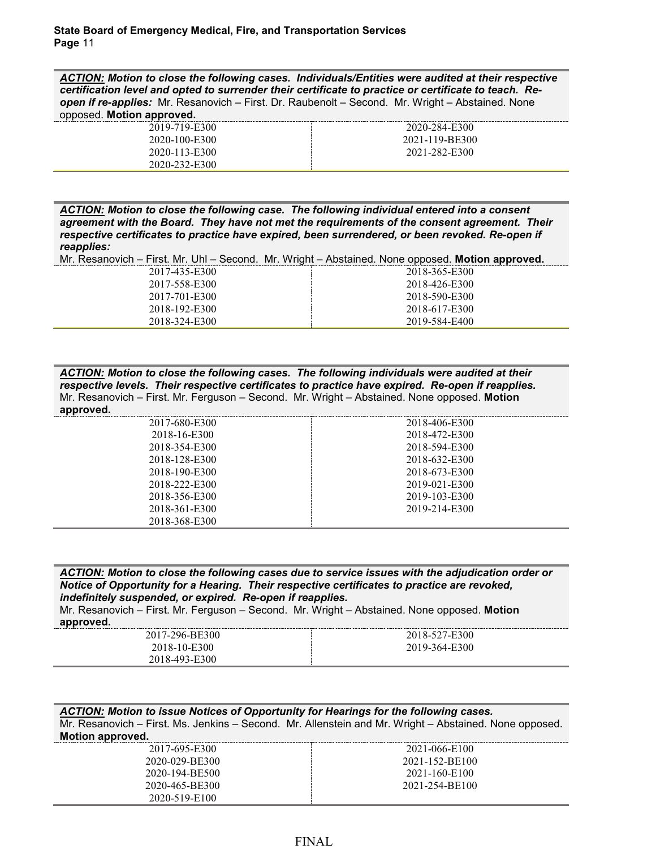*ACTION: Motion to close the following cases. Individuals/Entities were audited at their respective certification level and opted to surrender their certificate to practice or certificate to teach. Reopen if re-applies:* Mr. Resanovich – First. Dr. Raubenolt – Second. Mr. Wright – Abstained. None opposed. **Motion approved.**

| 2020-284-E300  |
|----------------|
| 2021-119-BE300 |
| 2021-282-E300  |
|                |
|                |

*ACTION: Motion to close the following case. The following individual entered into a consent agreement with the Board. They have not met the requirements of the consent agreement. Their respective certificates to practice have expired, been surrendered, or been revoked. Re-open if reapplies:*

Mr. Resanovich – First. Mr. Uhl – Second. Mr. Wright – Abstained. None opposed. **Motion approved.**

| 2017-435-E300 | 2018-365-E300 |
|---------------|---------------|
| 2017-558-E300 | 2018-426-E300 |
| 2017-701-E300 | 2018-590-E300 |
| 2018-192-E300 | 2018-617-E300 |
| 2018-324-E300 | 2019-584-E400 |

*ACTION: Motion to close the following cases. The following individuals were audited at their respective levels. Their respective certificates to practice have expired. Re-open if reapplies.*  Mr. Resanovich – First. Mr. Ferguson – Second. Mr. Wright – Abstained. None opposed. **Motion approved.**

| 2017-680-E300 | 2018-406-E300 |
|---------------|---------------|
| 2018-16-E300  | 2018-472-E300 |
| 2018-354-E300 | 2018-594-E300 |
| 2018-128-E300 | 2018-632-E300 |
| 2018-190-E300 | 2018-673-E300 |
| 2018-222-E300 | 2019-021-E300 |
| 2018-356-E300 | 2019-103-E300 |
| 2018-361-E300 | 2019-214-E300 |
| 2018-368-E300 |               |

*ACTION: Motion to close the following cases due to service issues with the adjudication order or Notice of Opportunity for a Hearing. Their respective certificates to practice are revoked, indefinitely suspended, or expired. Re-open if reapplies.* Mr. Resanovich – First. Mr. Ferguson – Second. Mr. Wright – Abstained. None opposed. **Motion approved.** 2017-296-BE300 2018-10-E300 2018-493-E300 2018-527-E300 2019-364-E300

*ACTION: Motion to issue Notices of Opportunity for Hearings for the following cases.* Mr. Resanovich – First. Ms. Jenkins – Second. Mr. Allenstein and Mr. Wright – Abstained. None opposed. **Motion approved.**

| 2017-695-E300  | 2021-066-E100  |
|----------------|----------------|
| 2020-029-BE300 | 2021-152-BE100 |
| 2020-194-BE500 | 2021-160-E100  |
| 2020-465-BE300 | 2021-254-BE100 |
| 2020-519-E100  |                |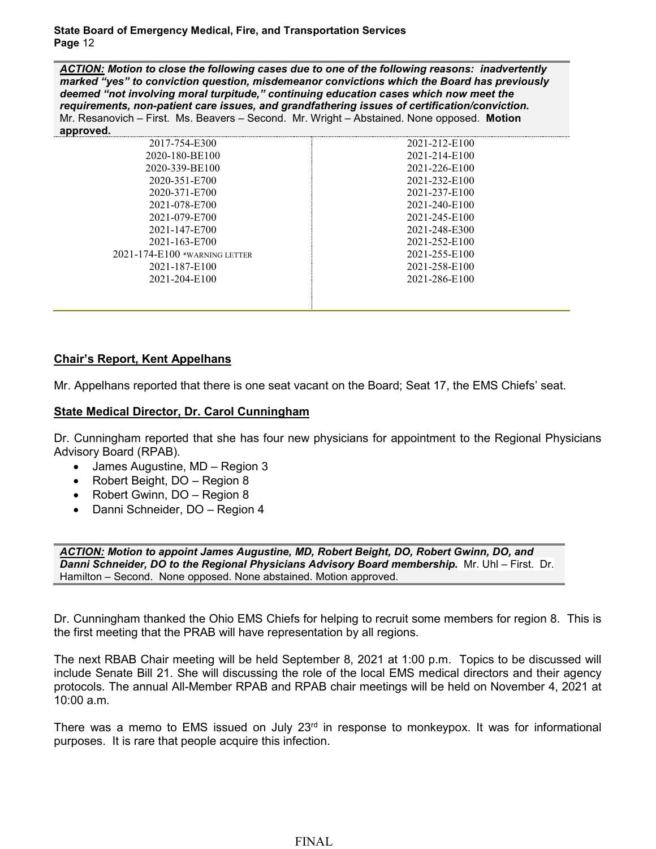*ACTION: Motion to close the following cases due to one of the following reasons: inadvertently marked "yes" to conviction question, misdemeanor convictions which the Board has previously deemed "not involving moral turpitude," continuing education cases which now meet the requirements, non-patient care issues, and grandfathering issues of certification/conviction.*  Mr. Resanovich – First. Ms. Beavers – Second. Mr. Wright – Abstained. None opposed. **Motion approved.**

| 2017-754-E300                 | 2021-212-E100 |
|-------------------------------|---------------|
| 2020-180-BE100                | 2021-214-E100 |
| 2020-339-BE100                | 2021-226-E100 |
| 2020-351-E700                 | 2021-232-E100 |
| 2020-371-E700                 | 2021-237-E100 |
| 2021-078-E700                 | 2021-240-E100 |
| 2021-079-E700                 | 2021-245-E100 |
| 2021-147-E700                 | 2021-248-E300 |
| 2021-163-E700                 | 2021-252-E100 |
| 2021-174-E100 *warning letter | 2021-255-E100 |
| 2021-187-E100                 | 2021-258-E100 |
| 2021-204-E100                 | 2021-286-E100 |
|                               |               |
|                               |               |

#### **Chair's Report, Kent Appelhans**

Mr. Appelhans reported that there is one seat vacant on the Board; Seat 17, the EMS Chiefs' seat.

#### **State Medical Director, Dr. Carol Cunningham**

Dr. Cunningham reported that she has four new physicians for appointment to the Regional Physicians Advisory Board (RPAB).

- James Augustine, MD Region 3
- Robert Beight, DO Region 8
- Robert Gwinn, DO Region 8
- Danni Schneider, DO Region 4

*ACTION: Motion to appoint James Augustine, MD, Robert Beight, DO, Robert Gwinn, DO, and Danni Schneider, DO to the Regional Physicians Advisory Board membership.* Mr. Uhl – First. Dr. Hamilton – Second. None opposed. None abstained. Motion approved.

Dr. Cunningham thanked the Ohio EMS Chiefs for helping to recruit some members for region 8. This is the first meeting that the PRAB will have representation by all regions.

The next RBAB Chair meeting will be held September 8, 2021 at 1:00 p.m. Topics to be discussed will include Senate Bill 21. She will discussing the role of the local EMS medical directors and their agency protocols. The annual All-Member RPAB and RPAB chair meetings will be held on November 4, 2021 at 10:00 a.m.

There was a memo to EMS issued on July  $23<sup>rd</sup>$  in response to monkeypox. It was for informational purposes. It is rare that people acquire this infection.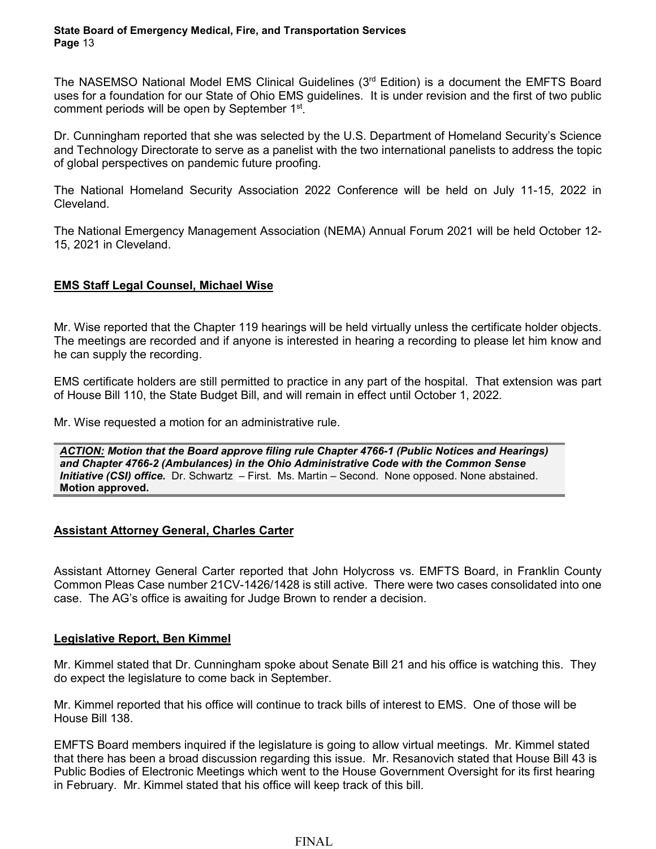The NASEMSO National Model EMS Clinical Guidelines (3rd Edition) is a document the EMFTS Board uses for a foundation for our State of Ohio EMS guidelines. It is under revision and the first of two public comment periods will be open by September 1<sup>st</sup>.

Dr. Cunningham reported that she was selected by the U.S. Department of Homeland Security's Science and Technology Directorate to serve as a panelist with the two international panelists to address the topic of global perspectives on pandemic future proofing.

The National Homeland Security Association 2022 Conference will be held on July 11-15, 2022 in Cleveland.

The National Emergency Management Association (NEMA) Annual Forum 2021 will be held October 12- 15, 2021 in Cleveland.

# **EMS Staff Legal Counsel, Michael Wise**

Mr. Wise reported that the Chapter 119 hearings will be held virtually unless the certificate holder objects. The meetings are recorded and if anyone is interested in hearing a recording to please let him know and he can supply the recording.

EMS certificate holders are still permitted to practice in any part of the hospital. That extension was part of House Bill 110, the State Budget Bill, and will remain in effect until October 1, 2022.

Mr. Wise requested a motion for an administrative rule.

*ACTION: Motion that the Board approve filing rule Chapter 4766-1 (Public Notices and Hearings) and Chapter 4766-2 (Ambulances) in the Ohio Administrative Code with the Common Sense Initiative (CSI) office.* Dr. Schwartz – First. Ms. Martin – Second. None opposed. None abstained. **Motion approved.**

# **Assistant Attorney General, Charles Carter**

Assistant Attorney General Carter reported that John Holycross vs. EMFTS Board, in Franklin County Common Pleas Case number 21CV-1426/1428 is still active. There were two cases consolidated into one case. The AG's office is awaiting for Judge Brown to render a decision.

#### **Legislative Report, Ben Kimmel**

Mr. Kimmel stated that Dr. Cunningham spoke about Senate Bill 21 and his office is watching this. They do expect the legislature to come back in September.

Mr. Kimmel reported that his office will continue to track bills of interest to EMS. One of those will be House Bill 138.

EMFTS Board members inquired if the legislature is going to allow virtual meetings. Mr. Kimmel stated that there has been a broad discussion regarding this issue. Mr. Resanovich stated that House Bill 43 is Public Bodies of Electronic Meetings which went to the House Government Oversight for its first hearing in February. Mr. Kimmel stated that his office will keep track of this bill.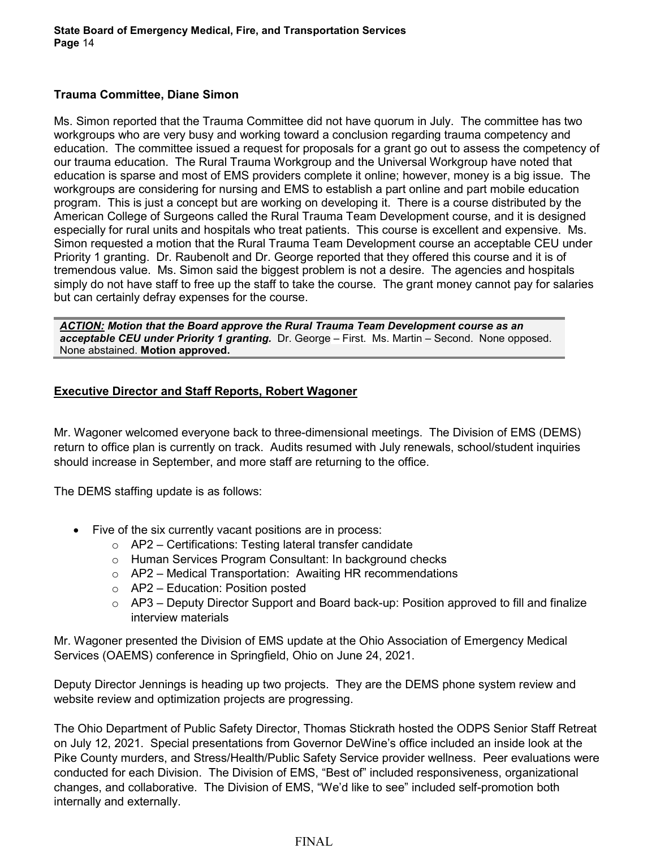### **Trauma Committee, Diane Simon**

Ms. Simon reported that the Trauma Committee did not have quorum in July. The committee has two workgroups who are very busy and working toward a conclusion regarding trauma competency and education. The committee issued a request for proposals for a grant go out to assess the competency of our trauma education. The Rural Trauma Workgroup and the Universal Workgroup have noted that education is sparse and most of EMS providers complete it online; however, money is a big issue. The workgroups are considering for nursing and EMS to establish a part online and part mobile education program. This is just a concept but are working on developing it. There is a course distributed by the American College of Surgeons called the Rural Trauma Team Development course, and it is designed especially for rural units and hospitals who treat patients. This course is excellent and expensive. Ms. Simon requested a motion that the Rural Trauma Team Development course an acceptable CEU under Priority 1 granting. Dr. Raubenolt and Dr. George reported that they offered this course and it is of tremendous value. Ms. Simon said the biggest problem is not a desire. The agencies and hospitals simply do not have staff to free up the staff to take the course. The grant money cannot pay for salaries but can certainly defray expenses for the course.

*ACTION: Motion that the Board approve the Rural Trauma Team Development course as an acceptable CEU under Priority 1 granting.* Dr. George – First. Ms. Martin – Second. None opposed. None abstained. **Motion approved.**

### **Executive Director and Staff Reports, Robert Wagoner**

Mr. Wagoner welcomed everyone back to three-dimensional meetings. The Division of EMS (DEMS) return to office plan is currently on track. Audits resumed with July renewals, school/student inquiries should increase in September, and more staff are returning to the office.

The DEMS staffing update is as follows:

- Five of the six currently vacant positions are in process:
	- o AP2 Certifications: Testing lateral transfer candidate
	- o Human Services Program Consultant: In background checks
	- o AP2 Medical Transportation: Awaiting HR recommendations
	- $\circ$  AP2 Education: Position posted
	- $\circ$  AP3 Deputy Director Support and Board back-up: Position approved to fill and finalize interview materials

Mr. Wagoner presented the Division of EMS update at the Ohio Association of Emergency Medical Services (OAEMS) conference in Springfield, Ohio on June 24, 2021.

Deputy Director Jennings is heading up two projects. They are the DEMS phone system review and website review and optimization projects are progressing.

The Ohio Department of Public Safety Director, Thomas Stickrath hosted the ODPS Senior Staff Retreat on July 12, 2021. Special presentations from Governor DeWine's office included an inside look at the Pike County murders, and Stress/Health/Public Safety Service provider wellness. Peer evaluations were conducted for each Division. The Division of EMS, "Best of" included responsiveness, organizational changes, and collaborative. The Division of EMS, "We'd like to see" included self-promotion both internally and externally.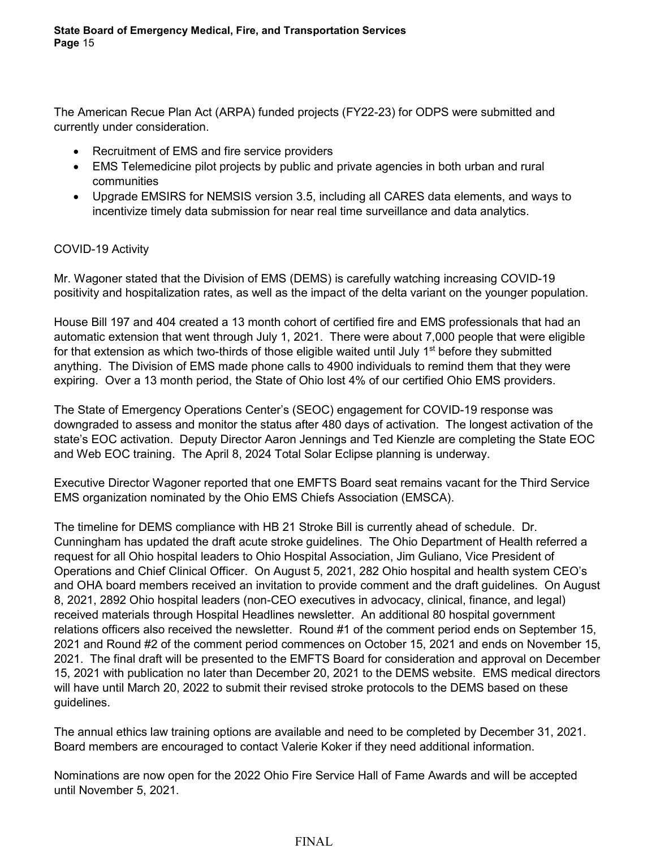The American Recue Plan Act (ARPA) funded projects (FY22-23) for ODPS were submitted and currently under consideration.

- Recruitment of EMS and fire service providers
- EMS Telemedicine pilot projects by public and private agencies in both urban and rural communities
- Upgrade EMSIRS for NEMSIS version 3.5, including all CARES data elements, and ways to incentivize timely data submission for near real time surveillance and data analytics.

# COVID-19 Activity

Mr. Wagoner stated that the Division of EMS (DEMS) is carefully watching increasing COVID-19 positivity and hospitalization rates, as well as the impact of the delta variant on the younger population.

House Bill 197 and 404 created a 13 month cohort of certified fire and EMS professionals that had an automatic extension that went through July 1, 2021. There were about 7,000 people that were eligible for that extension as which two-thirds of those eligible waited until July  $1<sup>st</sup>$  before they submitted anything. The Division of EMS made phone calls to 4900 individuals to remind them that they were expiring. Over a 13 month period, the State of Ohio lost 4% of our certified Ohio EMS providers.

The State of Emergency Operations Center's (SEOC) engagement for COVID-19 response was downgraded to assess and monitor the status after 480 days of activation. The longest activation of the state's EOC activation. Deputy Director Aaron Jennings and Ted Kienzle are completing the State EOC and Web EOC training. The April 8, 2024 Total Solar Eclipse planning is underway.

Executive Director Wagoner reported that one EMFTS Board seat remains vacant for the Third Service EMS organization nominated by the Ohio EMS Chiefs Association (EMSCA).

The timeline for DEMS compliance with HB 21 Stroke Bill is currently ahead of schedule. Dr. Cunningham has updated the draft acute stroke guidelines. The Ohio Department of Health referred a request for all Ohio hospital leaders to Ohio Hospital Association, Jim Guliano, Vice President of Operations and Chief Clinical Officer. On August 5, 2021, 282 Ohio hospital and health system CEO's and OHA board members received an invitation to provide comment and the draft guidelines. On August 8, 2021, 2892 Ohio hospital leaders (non-CEO executives in advocacy, clinical, finance, and legal) received materials through Hospital Headlines newsletter. An additional 80 hospital government relations officers also received the newsletter. Round #1 of the comment period ends on September 15, 2021 and Round #2 of the comment period commences on October 15, 2021 and ends on November 15, 2021. The final draft will be presented to the EMFTS Board for consideration and approval on December 15, 2021 with publication no later than December 20, 2021 to the DEMS website. EMS medical directors will have until March 20, 2022 to submit their revised stroke protocols to the DEMS based on these guidelines.

The annual ethics law training options are available and need to be completed by December 31, 2021. Board members are encouraged to contact Valerie Koker if they need additional information.

Nominations are now open for the 2022 Ohio Fire Service Hall of Fame Awards and will be accepted until November 5, 2021.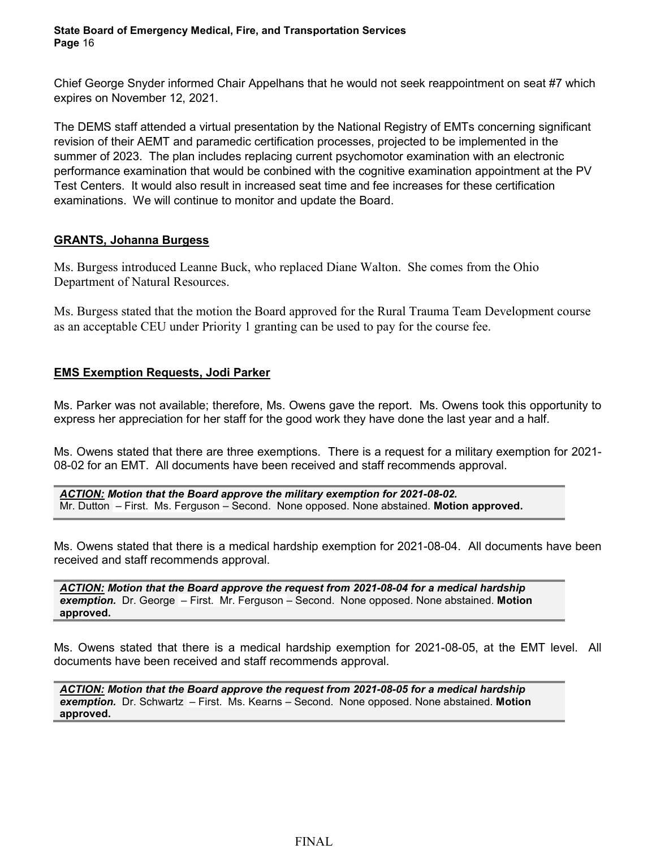Chief George Snyder informed Chair Appelhans that he would not seek reappointment on seat #7 which expires on November 12, 2021.

The DEMS staff attended a virtual presentation by the National Registry of EMTs concerning significant revision of their AEMT and paramedic certification processes, projected to be implemented in the summer of 2023. The plan includes replacing current psychomotor examination with an electronic performance examination that would be conbined with the cognitive examination appointment at the PV Test Centers. It would also result in increased seat time and fee increases for these certification examinations. We will continue to monitor and update the Board.

# **GRANTS, Johanna Burgess**

Ms. Burgess introduced Leanne Buck, who replaced Diane Walton. She comes from the Ohio Department of Natural Resources.

Ms. Burgess stated that the motion the Board approved for the Rural Trauma Team Development course as an acceptable CEU under Priority 1 granting can be used to pay for the course fee.

# **EMS Exemption Requests, Jodi Parker**

Ms. Parker was not available; therefore, Ms. Owens gave the report. Ms. Owens took this opportunity to express her appreciation for her staff for the good work they have done the last year and a half.

Ms. Owens stated that there are three exemptions. There is a request for a military exemption for 2021- 08-02 for an EMT. All documents have been received and staff recommends approval.

*ACTION: Motion that the Board approve the military exemption for 2021-08-02.*  Mr. Dutton – First. Ms. Ferguson – Second. None opposed. None abstained. **Motion approved.**

Ms. Owens stated that there is a medical hardship exemption for 2021-08-04. All documents have been received and staff recommends approval.

*ACTION: Motion that the Board approve the request from 2021-08-04 for a medical hardship exemption.* Dr. George – First. Mr. Ferguson – Second. None opposed. None abstained. **Motion approved.**

Ms. Owens stated that there is a medical hardship exemption for 2021-08-05, at the EMT level. All documents have been received and staff recommends approval.

*ACTION: Motion that the Board approve the request from 2021-08-05 for a medical hardship exemption.* Dr. Schwartz – First. Ms. Kearns – Second. None opposed. None abstained. **Motion approved.**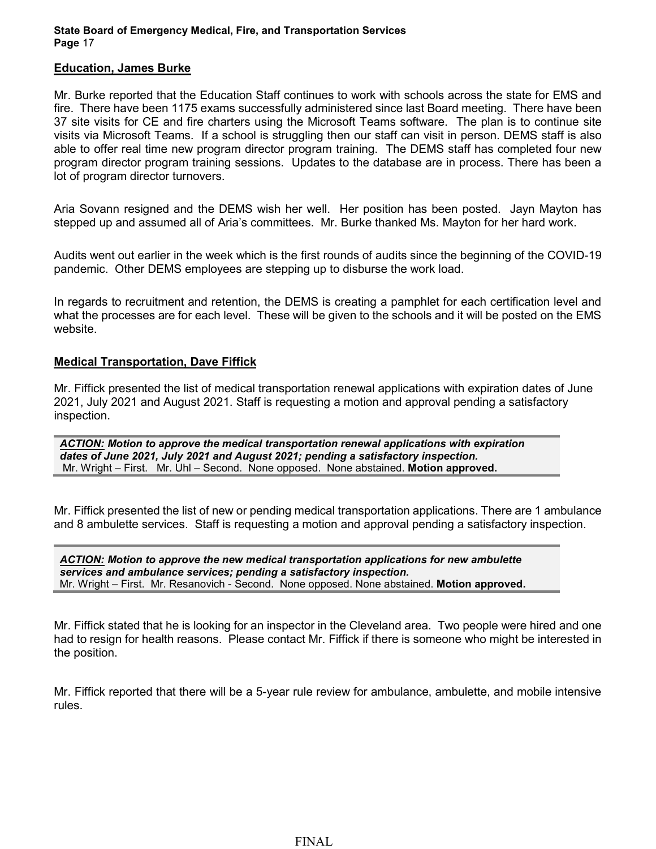#### **Education, James Burke**

Mr. Burke reported that the Education Staff continues to work with schools across the state for EMS and fire. There have been 1175 exams successfully administered since last Board meeting. There have been 37 site visits for CE and fire charters using the Microsoft Teams software. The plan is to continue site visits via Microsoft Teams. If a school is struggling then our staff can visit in person. DEMS staff is also able to offer real time new program director program training. The DEMS staff has completed four new program director program training sessions. Updates to the database are in process. There has been a lot of program director turnovers.

Aria Sovann resigned and the DEMS wish her well. Her position has been posted. Jayn Mayton has stepped up and assumed all of Aria's committees. Mr. Burke thanked Ms. Mayton for her hard work.

Audits went out earlier in the week which is the first rounds of audits since the beginning of the COVID-19 pandemic. Other DEMS employees are stepping up to disburse the work load.

In regards to recruitment and retention, the DEMS is creating a pamphlet for each certification level and what the processes are for each level. These will be given to the schools and it will be posted on the EMS website.

#### **Medical Transportation, Dave Fiffick**

Mr. Fiffick presented the list of medical transportation renewal applications with expiration dates of June 2021, July 2021 and August 2021. Staff is requesting a motion and approval pending a satisfactory inspection.

*ACTION: Motion to approve the medical transportation renewal applications with expiration dates of June 2021, July 2021 and August 2021; pending a satisfactory inspection.* Mr. Wright – First. Mr. Uhl – Second. None opposed. None abstained. **Motion approved.**

Mr. Fiffick presented the list of new or pending medical transportation applications. There are 1 ambulance and 8 ambulette services. Staff is requesting a motion and approval pending a satisfactory inspection.

*ACTION: Motion to approve the new medical transportation applications for new ambulette services and ambulance services; pending a satisfactory inspection.* Mr. Wright – First. Mr. Resanovich - Second. None opposed. None abstained. **Motion approved.**

Mr. Fiffick stated that he is looking for an inspector in the Cleveland area. Two people were hired and one had to resign for health reasons. Please contact Mr. Fiffick if there is someone who might be interested in the position.

Mr. Fiffick reported that there will be a 5-year rule review for ambulance, ambulette, and mobile intensive rules.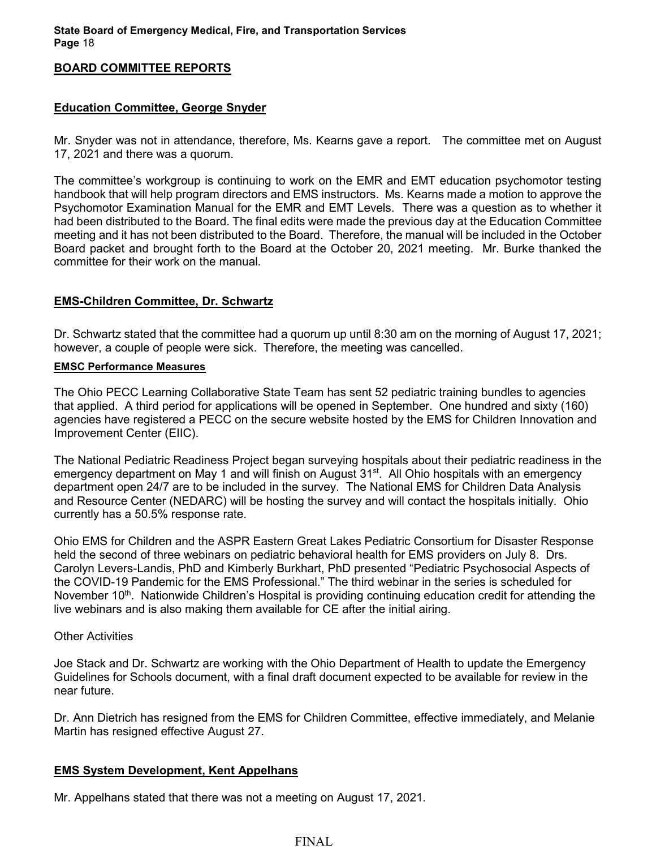#### **BOARD COMMITTEE REPORTS**

### **Education Committee, George Snyder**

Mr. Snyder was not in attendance, therefore, Ms. Kearns gave a report. The committee met on August 17, 2021 and there was a quorum.

The committee's workgroup is continuing to work on the EMR and EMT education psychomotor testing handbook that will help program directors and EMS instructors. Ms. Kearns made a motion to approve the Psychomotor Examination Manual for the EMR and EMT Levels. There was a question as to whether it had been distributed to the Board. The final edits were made the previous day at the Education Committee meeting and it has not been distributed to the Board. Therefore, the manual will be included in the October Board packet and brought forth to the Board at the October 20, 2021 meeting. Mr. Burke thanked the committee for their work on the manual.

### **EMS-Children Committee, Dr. Schwartz**

Dr. Schwartz stated that the committee had a quorum up until 8:30 am on the morning of August 17, 2021; however, a couple of people were sick. Therefore, the meeting was cancelled.

#### **EMSC Performance Measures**

The Ohio PECC Learning Collaborative State Team has sent 52 pediatric training bundles to agencies that applied. A third period for applications will be opened in September. One hundred and sixty (160) agencies have registered a PECC on the secure website hosted by the EMS for Children Innovation and Improvement Center (EIIC).

The National Pediatric Readiness Project began surveying hospitals about their pediatric readiness in the emergency department on May 1 and will finish on August 31<sup>st</sup>. All Ohio hospitals with an emergency department open 24/7 are to be included in the survey. The National EMS for Children Data Analysis and Resource Center (NEDARC) will be hosting the survey and will contact the hospitals initially. Ohio currently has a 50.5% response rate.

Ohio EMS for Children and the ASPR Eastern Great Lakes Pediatric Consortium for Disaster Response held the second of three webinars on pediatric behavioral health for EMS providers on July 8. Drs. Carolyn Levers-Landis, PhD and Kimberly Burkhart, PhD presented "Pediatric Psychosocial Aspects of the COVID-19 Pandemic for the EMS Professional." The third webinar in the series is scheduled for November 10<sup>th</sup>. Nationwide Children's Hospital is providing continuing education credit for attending the live webinars and is also making them available for CE after the initial airing.

#### Other Activities

Joe Stack and Dr. Schwartz are working with the Ohio Department of Health to update the Emergency Guidelines for Schools document, with a final draft document expected to be available for review in the near future.

Dr. Ann Dietrich has resigned from the EMS for Children Committee, effective immediately, and Melanie Martin has resigned effective August 27.

#### **EMS System Development, Kent Appelhans**

Mr. Appelhans stated that there was not a meeting on August 17, 2021.

### FINAL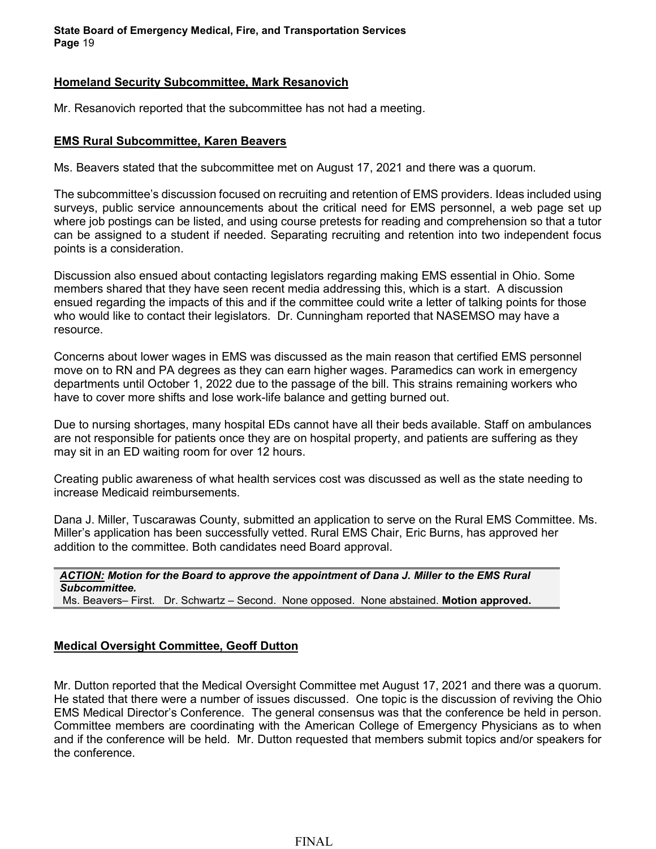#### **Homeland Security Subcommittee, Mark Resanovich**

Mr. Resanovich reported that the subcommittee has not had a meeting.

### **EMS Rural Subcommittee, Karen Beavers**

Ms. Beavers stated that the subcommittee met on August 17, 2021 and there was a quorum.

The subcommittee's discussion focused on recruiting and retention of EMS providers. Ideas included using surveys, public service announcements about the critical need for EMS personnel, a web page set up where job postings can be listed, and using course pretests for reading and comprehension so that a tutor can be assigned to a student if needed. Separating recruiting and retention into two independent focus points is a consideration.

Discussion also ensued about contacting legislators regarding making EMS essential in Ohio. Some members shared that they have seen recent media addressing this, which is a start. A discussion ensued regarding the impacts of this and if the committee could write a letter of talking points for those who would like to contact their legislators. Dr. Cunningham reported that NASEMSO may have a resource.

Concerns about lower wages in EMS was discussed as the main reason that certified EMS personnel move on to RN and PA degrees as they can earn higher wages. Paramedics can work in emergency departments until October 1, 2022 due to the passage of the bill. This strains remaining workers who have to cover more shifts and lose work-life balance and getting burned out.

Due to nursing shortages, many hospital EDs cannot have all their beds available. Staff on ambulances are not responsible for patients once they are on hospital property, and patients are suffering as they may sit in an ED waiting room for over 12 hours.

Creating public awareness of what health services cost was discussed as well as the state needing to increase Medicaid reimbursements.

Dana J. Miller, Tuscarawas County, submitted an application to serve on the Rural EMS Committee. Ms. Miller's application has been successfully vetted. Rural EMS Chair, Eric Burns, has approved her addition to the committee. Both candidates need Board approval.

*ACTION: Motion for the Board to approve the appointment of Dana J. Miller to the EMS Rural Subcommittee.*  Ms. Beavers– First. Dr. Schwartz – Second. None opposed. None abstained. **Motion approved.**

# **Medical Oversight Committee, Geoff Dutton**

Mr. Dutton reported that the Medical Oversight Committee met August 17, 2021 and there was a quorum. He stated that there were a number of issues discussed. One topic is the discussion of reviving the Ohio EMS Medical Director's Conference. The general consensus was that the conference be held in person. Committee members are coordinating with the American College of Emergency Physicians as to when and if the conference will be held. Mr. Dutton requested that members submit topics and/or speakers for the conference.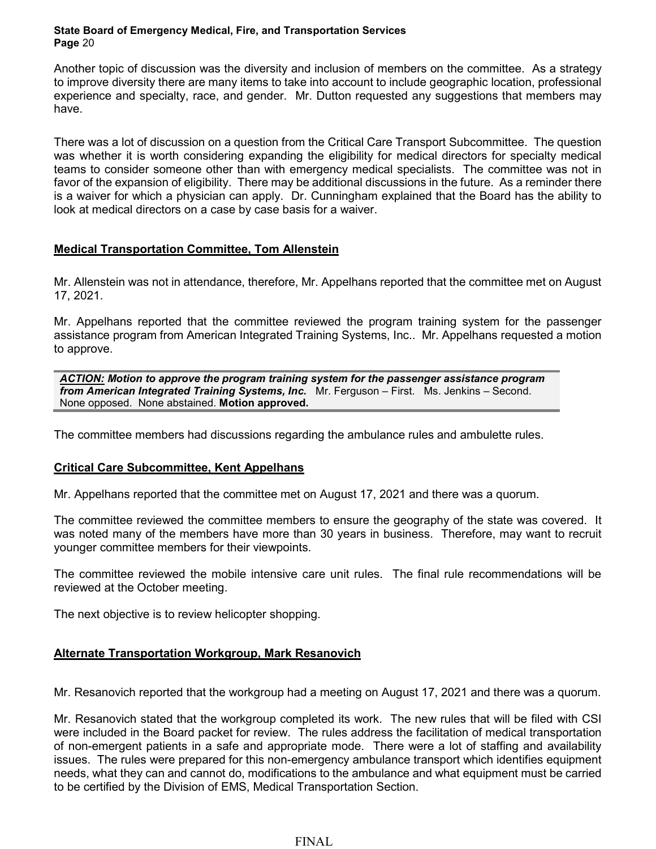Another topic of discussion was the diversity and inclusion of members on the committee. As a strategy to improve diversity there are many items to take into account to include geographic location, professional experience and specialty, race, and gender. Mr. Dutton requested any suggestions that members may have.

There was a lot of discussion on a question from the Critical Care Transport Subcommittee. The question was whether it is worth considering expanding the eligibility for medical directors for specialty medical teams to consider someone other than with emergency medical specialists. The committee was not in favor of the expansion of eligibility. There may be additional discussions in the future. As a reminder there is a waiver for which a physician can apply. Dr. Cunningham explained that the Board has the ability to look at medical directors on a case by case basis for a waiver.

# **Medical Transportation Committee, Tom Allenstein**

Mr. Allenstein was not in attendance, therefore, Mr. Appelhans reported that the committee met on August 17, 2021.

Mr. Appelhans reported that the committee reviewed the program training system for the passenger assistance program from American Integrated Training Systems, Inc.. Mr. Appelhans requested a motion to approve.

*ACTION: Motion to approve the program training system for the passenger assistance program from American Integrated Training Systems, Inc.* Mr. Ferguson – First. Ms. Jenkins – Second. None opposed. None abstained. **Motion approved.**

The committee members had discussions regarding the ambulance rules and ambulette rules.

# **Critical Care Subcommittee, Kent Appelhans**

Mr. Appelhans reported that the committee met on August 17, 2021 and there was a quorum.

The committee reviewed the committee members to ensure the geography of the state was covered. It was noted many of the members have more than 30 years in business. Therefore, may want to recruit younger committee members for their viewpoints.

The committee reviewed the mobile intensive care unit rules. The final rule recommendations will be reviewed at the October meeting.

The next objective is to review helicopter shopping.

# **Alternate Transportation Workgroup, Mark Resanovich**

Mr. Resanovich reported that the workgroup had a meeting on August 17, 2021 and there was a quorum.

Mr. Resanovich stated that the workgroup completed its work. The new rules that will be filed with CSI were included in the Board packet for review. The rules address the facilitation of medical transportation of non-emergent patients in a safe and appropriate mode. There were a lot of staffing and availability issues. The rules were prepared for this non-emergency ambulance transport which identifies equipment needs, what they can and cannot do, modifications to the ambulance and what equipment must be carried to be certified by the Division of EMS, Medical Transportation Section.